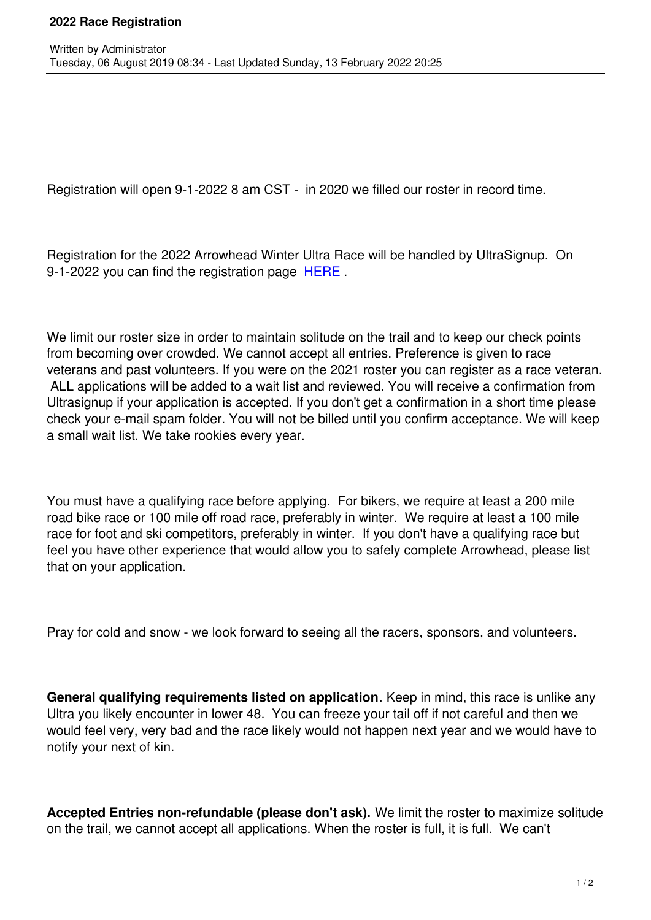Written by Administrator and Administrator and Administrator and Administrator and Administrator and Administrator and Administrator and Administrator and Administrator and Administrator and Administrator and Administrator

Registration will open 9-1-2022 8 am CST - in 2020 we filled our roster in record time.

Registration for the 2022 Arrowhead Winter Ultra Race will be handled by UltraSignup. On 9-1-2022 you can find the registration page HERE.

We limit our roster size in order to maintain [solitude](https://ultrasignup.com/register.aspx?did=87342) on the trail and to keep our check points from becoming over crowded. We cannot accept all entries. Preference is given to race veterans and past volunteers. If you were on the 2021 roster you can register as a race veteran. ALL applications will be added to a wait list and reviewed. You will receive a confirmation from Ultrasignup if your application is accepted. If you don't get a confirmation in a short time please check your e-mail spam folder. You will not be billed until you confirm acceptance. We will keep a small wait list. We take rookies every year.

You must have a qualifying race before applying. For bikers, we require at least a 200 mile road bike race or 100 mile off road race, preferably in winter. We require at least a 100 mile race for foot and ski competitors, preferably in winter. If you don't have a qualifying race but feel you have other experience that would allow you to safely complete Arrowhead, please list that on your application.

Pray for cold and snow - we look forward to seeing all the racers, sponsors, and volunteers.

**General qualifying requirements listed on application**. Keep in mind, this race is unlike any Ultra you likely encounter in lower 48. You can freeze your tail off if not careful and then we would feel very, very bad and the race likely would not happen next year and we would have to notify your next of kin.

**Accepted Entries non-refundable (please don't ask).** We limit the roster to maximize solitude on the trail, we cannot accept all applications. When the roster is full, it is full. We can't